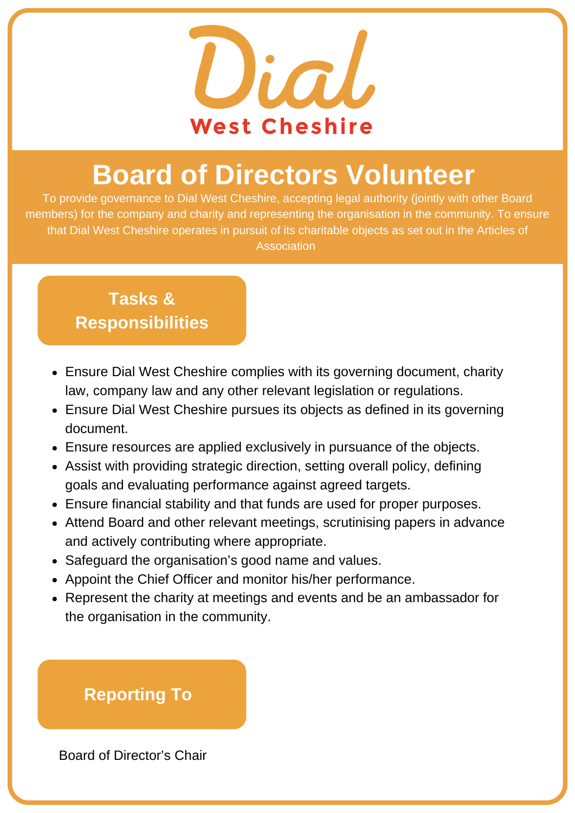

# **Board of Directors Volunteer**

To provide governance to Dial West Cheshire, accepting legal authority (jointly with other Board members) for the company and charity and representing the organisation in the community. To ensure that Dial West Cheshire operates in pursuit of its charitable objects as set out in the Articles of Association

### **Tasks & Responsibilities**

- Ensure Dial West Cheshire complies with its governing document, charity law, company law and any other relevant legislation or regulations.
- Ensure Dial West Cheshire pursues its objects as defined in its governing document.
- Ensure resources are applied exclusively in pursuance of the objects.
- Assist with providing strategic direction, setting overall policy, defining goals and evaluating performance against agreed targets.
- Ensure financial stability and that funds are used for proper purposes.
- Attend Board and other relevant meetings, scrutinising papers in advance and actively contributing where appropriate.
- Safeguard the organisation's good name and values.
- Appoint the Chief Officer and monitor his/her performance.
- Represent the charity at meetings and events and be an ambassador for the organisation in the community.

## **Reporting To**

Board of Director's Chair